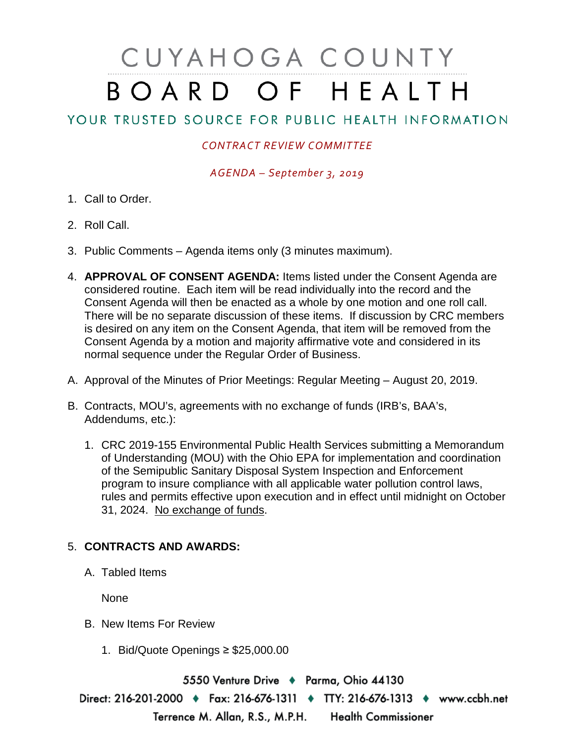## CUYAHOGA COUNTY BOARD OF HEALTH

## YOUR TRUSTED SOURCE FOR PUBLIC HEALTH INFORMATION

## *CONTRACT REVIEW COMMITTEE*

*AGENDA – September 3, 2019*

- 1. Call to Order.
- 2. Roll Call.
- 3. Public Comments Agenda items only (3 minutes maximum).
- 4. **APPROVAL OF CONSENT AGENDA:** Items listed under the Consent Agenda are considered routine. Each item will be read individually into the record and the Consent Agenda will then be enacted as a whole by one motion and one roll call. There will be no separate discussion of these items. If discussion by CRC members is desired on any item on the Consent Agenda, that item will be removed from the Consent Agenda by a motion and majority affirmative vote and considered in its normal sequence under the Regular Order of Business.
- A. Approval of the Minutes of Prior Meetings: Regular Meeting August 20, 2019.
- B. Contracts, MOU's, agreements with no exchange of funds (IRB's, BAA's, Addendums, etc.):
	- 1. CRC 2019-155 Environmental Public Health Services submitting a Memorandum of Understanding (MOU) with the Ohio EPA for implementation and coordination of the Semipublic Sanitary Disposal System Inspection and Enforcement program to insure compliance with all applicable water pollution control laws, rules and permits effective upon execution and in effect until midnight on October 31, 2024. No exchange of funds.

## 5. **CONTRACTS AND AWARDS:**

A. Tabled Items

None

- B. New Items For Review
	- 1. Bid/Quote Openings ≥ \$25,000.00

5550 Venture Drive + Parma, Ohio 44130 Direct: 216-201-2000 • Fax: 216-676-1311 • TTY: 216-676-1313 • www.ccbh.net Terrence M. Allan, R.S., M.P.H. **Health Commissioner**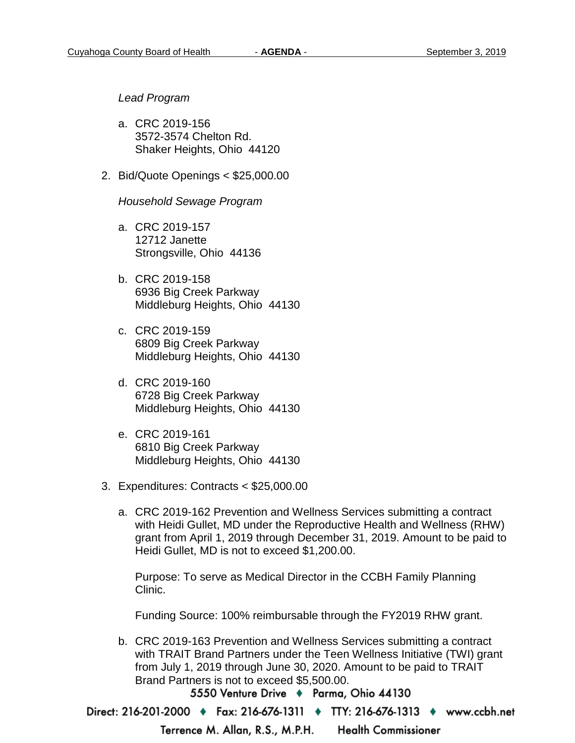*Lead Program*

- a. CRC 2019-156 3572-3574 Chelton Rd. Shaker Heights, Ohio 44120
- 2. Bid/Quote Openings < \$25,000.00

*Household Sewage Program* 

- a. CRC 2019-157 12712 Janette Strongsville, Ohio 44136
- b. CRC 2019-158 6936 Big Creek Parkway Middleburg Heights, Ohio 44130
- c. CRC 2019-159 6809 Big Creek Parkway Middleburg Heights, Ohio 44130
- d. CRC 2019-160 6728 Big Creek Parkway Middleburg Heights, Ohio 44130
- e. CRC 2019-161 6810 Big Creek Parkway Middleburg Heights, Ohio 44130
- 3. Expenditures: Contracts < \$25,000.00
	- a. CRC 2019-162 Prevention and Wellness Services submitting a contract with Heidi Gullet, MD under the Reproductive Health and Wellness (RHW) grant from April 1, 2019 through December 31, 2019. Amount to be paid to Heidi Gullet, MD is not to exceed \$1,200.00.

Purpose: To serve as Medical Director in the CCBH Family Planning Clinic.

Funding Source: 100% reimbursable through the FY2019 RHW grant.

b. CRC 2019-163 Prevention and Wellness Services submitting a contract with TRAIT Brand Partners under the Teen Wellness Initiative (TWI) grant from July 1, 2019 through June 30, 2020. Amount to be paid to TRAIT Brand Partners is not to exceed \$5,500.00.

5550 Venture Drive + Parma, Ohio 44130

Direct: 216-201-2000 • Fax: 216-676-1311 • TTY: 216-676-1313 • www.ccbh.net

Terrence M. Allan, R.S., M.P.H. **Health Commissioner**